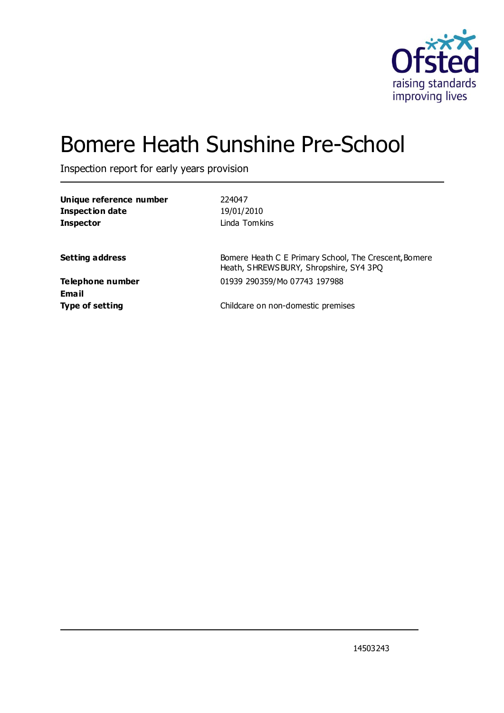

# Bomere Heath Sunshine Pre-School

Inspection report for early years provision

| Unique reference number<br><b>Inspection date</b><br><b>Inspector</b> | 224047<br>19/01/2010<br>Linda Tomkins                                                           |
|-----------------------------------------------------------------------|-------------------------------------------------------------------------------------------------|
| <b>Setting address</b>                                                | Bomere Heath C E Primary School, The Crescent, Bomere<br>Heath, SHREWSBURY, Shropshire, SY4 3PQ |
| Telephone number<br>Email                                             | 01939 290359/Mo 07743 197988                                                                    |
| <b>Type of setting</b>                                                | Childcare on non-domestic premises                                                              |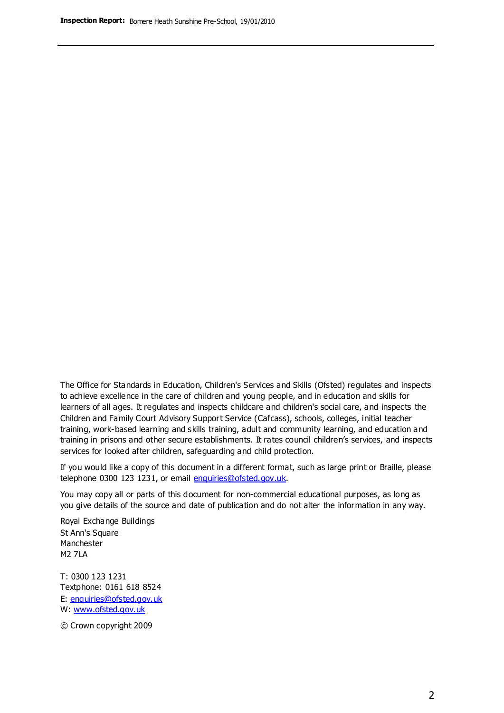The Office for Standards in Education, Children's Services and Skills (Ofsted) regulates and inspects to achieve excellence in the care of children and young people, and in education and skills for learners of all ages. It regulates and inspects childcare and children's social care, and inspects the Children and Family Court Advisory Support Service (Cafcass), schools, colleges, initial teacher training, work-based learning and skills training, adult and community learning, and education and training in prisons and other secure establishments. It rates council children's services, and inspects services for looked after children, safeguarding and child protection.

If you would like a copy of this document in a different format, such as large print or Braille, please telephone 0300 123 1231, or email enquiries@ofsted.gov.uk.

You may copy all or parts of this document for non-commercial educational purposes, as long as you give details of the source and date of publication and do not alter the information in any way.

Royal Exchange Buildings St Ann's Square Manchester M2 7LA

T: 0300 123 1231 Textphone: 0161 618 8524 E: enquiries@ofsted.gov.uk W: [www.ofsted.gov.uk](http://www.ofsted.gov.uk/)

© Crown copyright 2009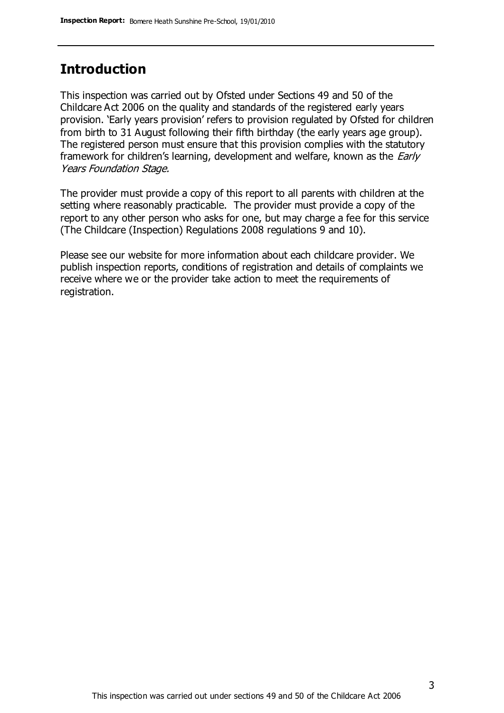## **Introduction**

This inspection was carried out by Ofsted under Sections 49 and 50 of the Childcare Act 2006 on the quality and standards of the registered early years provision. 'Early years provision' refers to provision regulated by Ofsted for children from birth to 31 August following their fifth birthday (the early years age group). The registered person must ensure that this provision complies with the statutory framework for children's learning, development and welfare, known as the *Early* Years Foundation Stage.

The provider must provide a copy of this report to all parents with children at the setting where reasonably practicable. The provider must provide a copy of the report to any other person who asks for one, but may charge a fee for this service (The Childcare (Inspection) Regulations 2008 regulations 9 and 10).

Please see our website for more information about each childcare provider. We publish inspection reports, conditions of registration and details of complaints we receive where we or the provider take action to meet the requirements of registration.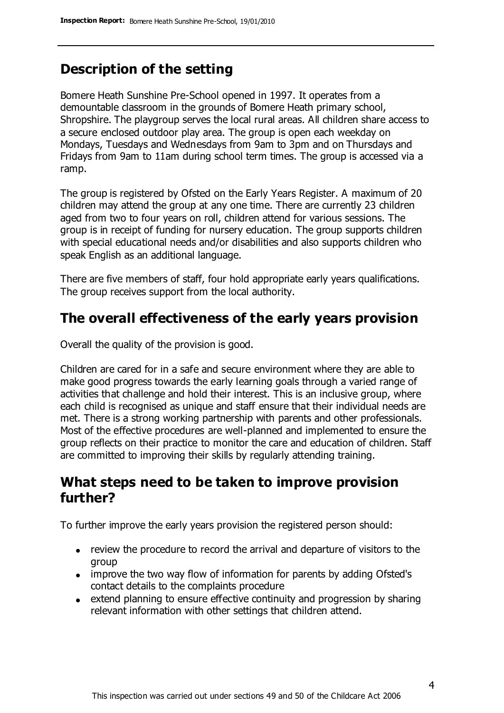# **Description of the setting**

Bomere Heath Sunshine Pre-School opened in 1997. It operates from a demountable classroom in the grounds of Bomere Heath primary school, Shropshire. The playgroup serves the local rural areas. All children share access to a secure enclosed outdoor play area. The group is open each weekday on Mondays, Tuesdays and Wednesdays from 9am to 3pm and on Thursdays and Fridays from 9am to 11am during school term times. The group is accessed via a ramp.

The group is registered by Ofsted on the Early Years Register. A maximum of 20 children may attend the group at any one time. There are currently 23 children aged from two to four years on roll, children attend for various sessions. The group is in receipt of funding for nursery education. The group supports children with special educational needs and/or disabilities and also supports children who speak English as an additional language.

There are five members of staff, four hold appropriate early years qualifications. The group receives support from the local authority.

### **The overall effectiveness of the early years provision**

Overall the quality of the provision is good.

Children are cared for in a safe and secure environment where they are able to make good progress towards the early learning goals through a varied range of activities that challenge and hold their interest. This is an inclusive group, where each child is recognised as unique and staff ensure that their individual needs are met. There is a strong working partnership with parents and other professionals. Most of the effective procedures are well-planned and implemented to ensure the group reflects on their practice to monitor the care and education of children. Staff are committed to improving their skills by regularly attending training.

### **What steps need to be taken to improve provision further?**

To further improve the early years provision the registered person should:

- review the procedure to record the arrival and departure of visitors to the group
- improve the two way flow of information for parents by adding Ofsted's contact details to the complaints procedure
- extend planning to ensure effective continuity and progression by sharing relevant information with other settings that children attend.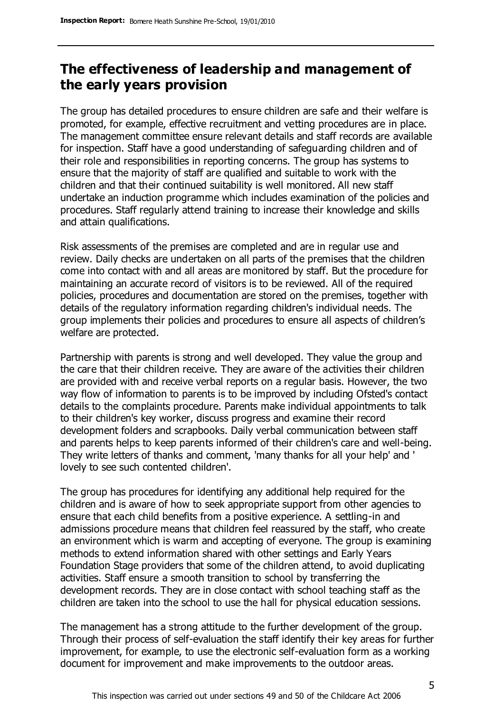# **The effectiveness of leadership and management of the early years provision**

The group has detailed procedures to ensure children are safe and their welfare is promoted, for example, effective recruitment and vetting procedures are in place. The management committee ensure relevant details and staff records are available for inspection. Staff have a good understanding of safeguarding children and of their role and responsibilities in reporting concerns. The group has systems to ensure that the majority of staff are qualified and suitable to work with the children and that their continued suitability is well monitored. All new staff undertake an induction programme which includes examination of the policies and procedures. Staff regularly attend training to increase their knowledge and skills and attain qualifications.

Risk assessments of the premises are completed and are in regular use and review. Daily checks are undertaken on all parts of the premises that the children come into contact with and all areas are monitored by staff. But the procedure for maintaining an accurate record of visitors is to be reviewed. All of the required policies, procedures and documentation are stored on the premises, together with details of the regulatory information regarding children's individual needs. The group implements their policies and procedures to ensure all aspects of children's welfare are protected.

Partnership with parents is strong and well developed. They value the group and the care that their children receive. They are aware of the activities their children are provided with and receive verbal reports on a regular basis. However, the two way flow of information to parents is to be improved by including Ofsted's contact details to the complaints procedure. Parents make individual appointments to talk to their children's key worker, discuss progress and examine their record development folders and scrapbooks. Daily verbal communication between staff and parents helps to keep parents informed of their children's care and well-being. They write letters of thanks and comment, 'many thanks for all your help' and ' lovely to see such contented children'.

The group has procedures for identifying any additional help required for the children and is aware of how to seek appropriate support from other agencies to ensure that each child benefits from a positive experience. A settling-in and admissions procedure means that children feel reassured by the staff, who create an environment which is warm and accepting of everyone. The group is examining methods to extend information shared with other settings and Early Years Foundation Stage providers that some of the children attend, to avoid duplicating activities. Staff ensure a smooth transition to school by transferring the development records. They are in close contact with school teaching staff as the children are taken into the school to use the hall for physical education sessions.

The management has a strong attitude to the further development of the group. Through their process of self-evaluation the staff identify their key areas for further improvement, for example, to use the electronic self-evaluation form as a working document for improvement and make improvements to the outdoor areas.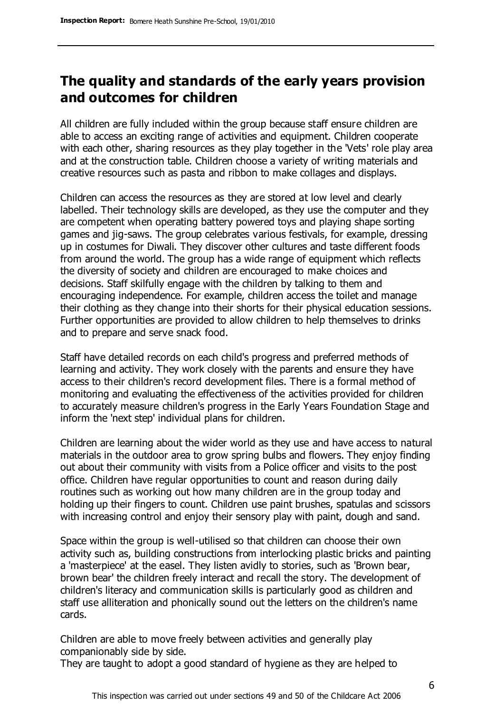# **The quality and standards of the early years provision and outcomes for children**

All children are fully included within the group because staff ensure children are able to access an exciting range of activities and equipment. Children cooperate with each other, sharing resources as they play together in the 'Vets' role play area and at the construction table. Children choose a variety of writing materials and creative resources such as pasta and ribbon to make collages and displays.

Children can access the resources as they are stored at low level and clearly labelled. Their technology skills are developed, as they use the computer and they are competent when operating battery powered toys and playing shape sorting games and jig-saws. The group celebrates various festivals, for example, dressing up in costumes for Diwali. They discover other cultures and taste different foods from around the world. The group has a wide range of equipment which reflects the diversity of society and children are encouraged to make choices and decisions. Staff skilfully engage with the children by talking to them and encouraging independence. For example, children access the toilet and manage their clothing as they change into their shorts for their physical education sessions. Further opportunities are provided to allow children to help themselves to drinks and to prepare and serve snack food.

Staff have detailed records on each child's progress and preferred methods of learning and activity. They work closely with the parents and ensure they have access to their children's record development files. There is a formal method of monitoring and evaluating the effectiveness of the activities provided for children to accurately measure children's progress in the Early Years Foundation Stage and inform the 'next step' individual plans for children.

Children are learning about the wider world as they use and have access to natural materials in the outdoor area to grow spring bulbs and flowers. They enjoy finding out about their community with visits from a Police officer and visits to the post office. Children have regular opportunities to count and reason during daily routines such as working out how many children are in the group today and holding up their fingers to count. Children use paint brushes, spatulas and scissors with increasing control and enjoy their sensory play with paint, dough and sand.

Space within the group is well-utilised so that children can choose their own activity such as, building constructions from interlocking plastic bricks and painting a 'masterpiece' at the easel. They listen avidly to stories, such as 'Brown bear, brown bear' the children freely interact and recall the story. The development of children's literacy and communication skills is particularly good as children and staff use alliteration and phonically sound out the letters on the children's name cards.

Children are able to move freely between activities and generally play companionably side by side.

They are taught to adopt a good standard of hygiene as they are helped to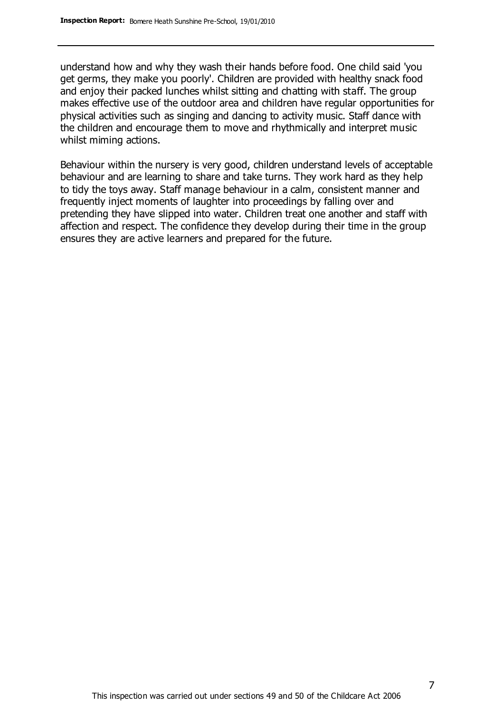understand how and why they wash their hands before food. One child said 'you get germs, they make you poorly'. Children are provided with healthy snack food and enjoy their packed lunches whilst sitting and chatting with staff. The group makes effective use of the outdoor area and children have regular opportunities for physical activities such as singing and dancing to activity music. Staff dance with the children and encourage them to move and rhythmically and interpret music whilst miming actions.

Behaviour within the nursery is very good, children understand levels of acceptable behaviour and are learning to share and take turns. They work hard as they help to tidy the toys away. Staff manage behaviour in a calm, consistent manner and frequently inject moments of laughter into proceedings by falling over and pretending they have slipped into water. Children treat one another and staff with affection and respect. The confidence they develop during their time in the group ensures they are active learners and prepared for the future.